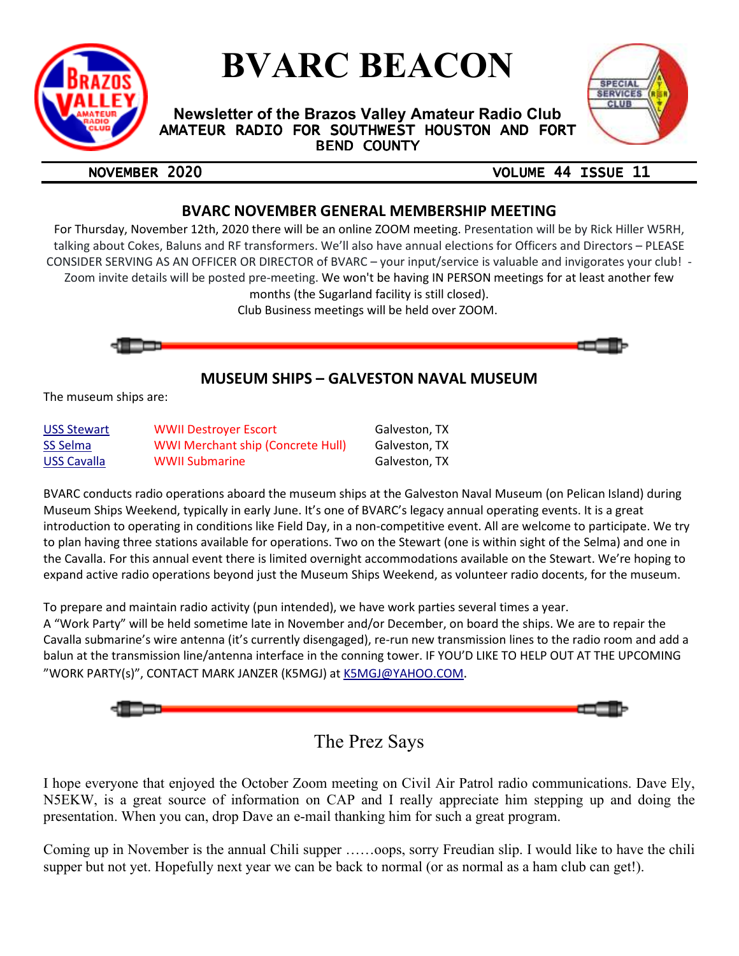

# **BVARC BEACON**

**Newsletter of the Brazos Valley Amateur Radio Club**  AMATEUR RADIO FOR SOUTHWEST HOUSTON AND FORT **BEND COUNTY** 



## NOVEMBER 2020 VOLUME 44 ISSUE 11

## **BVARC NOVEMBER GENERAL MEMBERSHIP MEETING**

For Thursday, November 12th, 2020 there will be an online ZOOM meeting. Presentation will be by Rick Hiller W5RH, talking about Cokes, Baluns and RF transformers. We'll also have annual elections for Officers and Directors – PLEASE CONSIDER SERVING AS AN OFFICER OR DIRECTOR of BVARC – your input/service is valuable and invigorates your club! - Zoom invite details will be posted pre-meeting. We won't be having IN PERSON meetings for at least another few months (the Sugarland facility is still closed).

Club Business meetings will be held over ZOOM.



## **MUSEUM SHIPS – GALVESTON NAVAL MUSEUM**

The museum ships are:

| <b>USS Stewart</b> | <b>WWII Destrover Escort</b>             | Galveston, TX |
|--------------------|------------------------------------------|---------------|
| SS Selma           | <b>WWI Merchant ship (Concrete Hull)</b> | Galveston, TX |
| USS Cavalla        | <b>WWII Submarine</b>                    | Galveston, TX |

BVARC conducts radio operations aboard the museum ships at the Galveston Naval Museum (on Pelican Island) during Museum Ships Weekend, typically in early June. It's one of BVARC's legacy annual operating events. It is a great introduction to operating in conditions like Field Day, in a non-competitive event. All are welcome to participate. We try to plan having three stations available for operations. Two on the Stewart (one is within sight of the Selma) and one in the Cavalla. For this annual event there is limited overnight accommodations available on the Stewart. We're hoping to expand active radio operations beyond just the Museum Ships Weekend, as volunteer radio docents, for the museum.

To prepare and maintain radio activity (pun intended), we have work parties several times a year.

A "Work Party" will be held sometime late in November and/or December, on board the ships. We are to repair the Cavalla submarine's wire antenna (it's currently disengaged), re-run new transmission lines to the radio room and add a balun at the transmission line/antenna interface in the conning tower. IF YOU'D LIKE TO HELP OUT AT THE UPCOMING "WORK PARTY(s)", CONTACT MARK JANZER (K5MGJ) at K5MGJ@YAHOO.COM.



## The Prez Says

I hope everyone that enjoyed the October Zoom meeting on Civil Air Patrol radio communications. Dave Ely, N5EKW, is a great source of information on CAP and I really appreciate him stepping up and doing the presentation. When you can, drop Dave an e-mail thanking him for such a great program.

Coming up in November is the annual Chili supper ……oops, sorry Freudian slip. I would like to have the chili supper but not yet. Hopefully next year we can be back to normal (or as normal as a ham club can get!).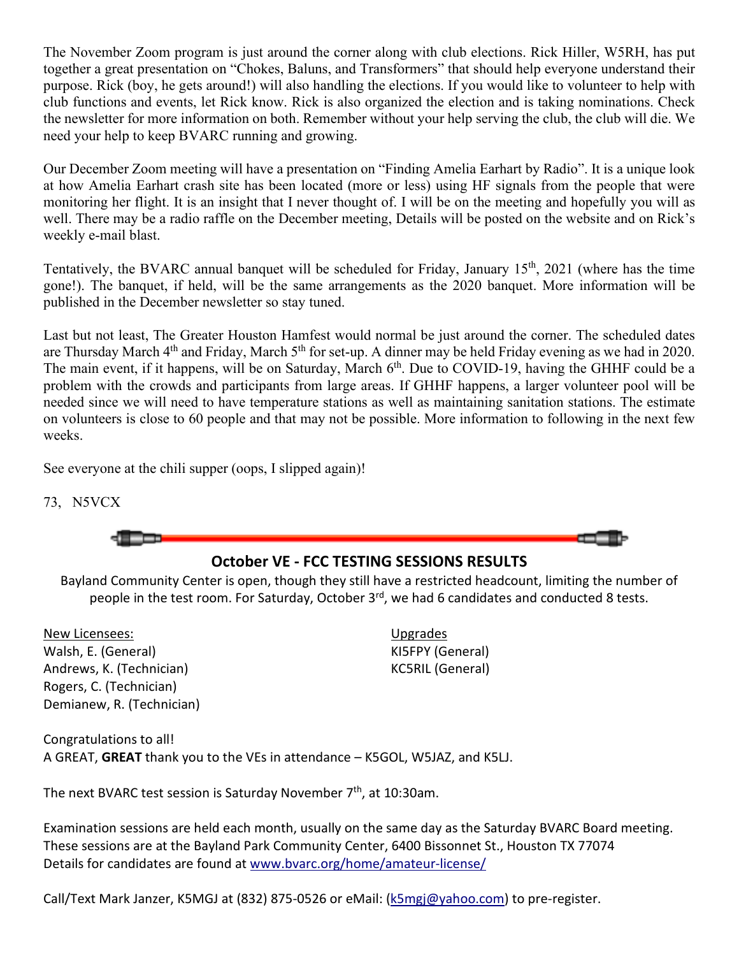The November Zoom program is just around the corner along with club elections. Rick Hiller, W5RH, has put together a great presentation on "Chokes, Baluns, and Transformers" that should help everyone understand their purpose. Rick (boy, he gets around!) will also handling the elections. If you would like to volunteer to help with club functions and events, let Rick know. Rick is also organized the election and is taking nominations. Check the newsletter for more information on both. Remember without your help serving the club, the club will die. We need your help to keep BVARC running and growing.

Our December Zoom meeting will have a presentation on "Finding Amelia Earhart by Radio". It is a unique look at how Amelia Earhart crash site has been located (more or less) using HF signals from the people that were monitoring her flight. It is an insight that I never thought of. I will be on the meeting and hopefully you will as well. There may be a radio raffle on the December meeting, Details will be posted on the website and on Rick's weekly e-mail blast.

Tentatively, the BVARC annual banquet will be scheduled for Friday, January 15th, 2021 (where has the time gone!). The banquet, if held, will be the same arrangements as the 2020 banquet. More information will be published in the December newsletter so stay tuned.

Last but not least, The Greater Houston Hamfest would normal be just around the corner. The scheduled dates are Thursday March 4<sup>th</sup> and Friday, March 5<sup>th</sup> for set-up. A dinner may be held Friday evening as we had in 2020. The main event, if it happens, will be on Saturday, March 6<sup>th</sup>. Due to COVID-19, having the GHHF could be a problem with the crowds and participants from large areas. If GHHF happens, a larger volunteer pool will be needed since we will need to have temperature stations as well as maintaining sanitation stations. The estimate on volunteers is close to 60 people and that may not be possible. More information to following in the next few weeks.

See everyone at the chili supper (oops, I slipped again)!

73, N5VCX

**October VE - FCC TESTING SESSIONS RESULTS** 

Bayland Community Center is open, though they still have a restricted headcount, limiting the number of people in the test room. For Saturday, October 3<sup>rd</sup>, we had 6 candidates and conducted 8 tests.

New Licensees: Walsh, E. (General) Andrews, K. (Technician) Rogers, C. (Technician) Demianew, R. (Technician) Upgrades KI5FPY (General) KC5RIL (General)

Congratulations to all! A GREAT, **GREAT** thank you to the VEs in attendance – K5GOL, W5JAZ, and K5LJ.

The next BVARC test session is Saturday November  $7<sup>th</sup>$ , at 10:30am.

Examination sessions are held each month, usually on the same day as the Saturday BVARC Board meeting. These sessions are at the Bayland Park Community Center, 6400 Bissonnet St., Houston TX 77074 Details for candidates are found at www.bvarc.org/home/amateur-license/

Call/Text Mark Janzer, K5MGJ at (832) 875-0526 or eMail: (k5mgj@yahoo.com) to pre-register.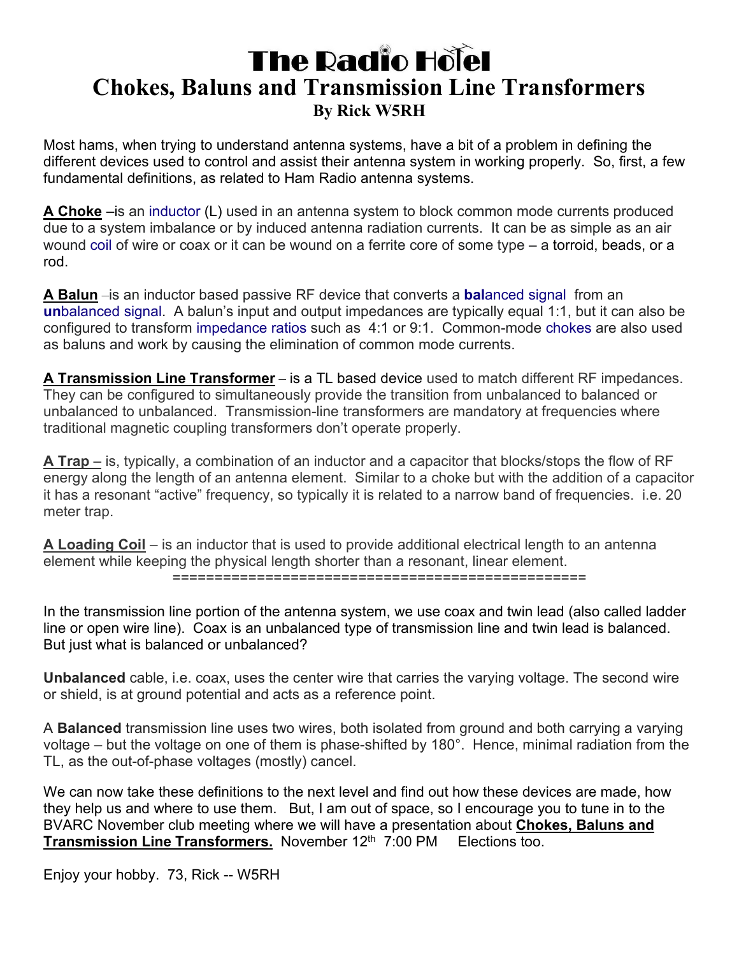## **The Radio Holel Chokes, Baluns and Transmission Line Transformers By Rick W5RH**

Most hams, when trying to understand antenna systems, have a bit of a problem in defining the different devices used to control and assist their antenna system in working properly. So, first, a few fundamental definitions, as related to Ham Radio antenna systems.

**A Choke** –is an inductor (L) used in an antenna system to block common mode currents produced due to a system imbalance or by induced antenna radiation currents. It can be as simple as an air wound coil of wire or coax or it can be wound on a ferrite core of some type – a torroid, beads, or a rod.

**A Balun** –is an inductor based passive RF device that converts a **bal**anced signal from an **un**balanced signal. A balun's input and output impedances are typically equal 1:1, but it can also be configured to transform impedance ratios such as 4:1 or 9:1. Common-mode chokes are also used as baluns and work by causing the elimination of common mode currents.

**A Transmission Line Transformer** – is a TL based device used to match different RF impedances. They can be configured to simultaneously provide the transition from unbalanced to balanced or unbalanced to unbalanced. Transmission-line transformers are mandatory at frequencies where traditional magnetic coupling transformers don't operate properly.

**A Trap** – is, typically, a combination of an inductor and a capacitor that blocks/stops the flow of RF energy along the length of an antenna element. Similar to a choke but with the addition of a capacitor it has a resonant "active" frequency, so typically it is related to a narrow band of frequencies. i.e. 20 meter trap.

**A Loading Coil** – is an inductor that is used to provide additional electrical length to an antenna element while keeping the physical length shorter than a resonant, linear element. =================================================

In the transmission line portion of the antenna system, we use coax and twin lead (also called ladder line or open wire line). Coax is an unbalanced type of transmission line and twin lead is balanced. But just what is balanced or unbalanced?

**Unbalanced** cable, i.e. coax, uses the center wire that carries the varying voltage. The second wire or shield, is at ground potential and acts as a reference point.

A **Balanced** transmission line uses two wires, both isolated from ground and both carrying a varying voltage – but the voltage on one of them is phase-shifted by 180°. Hence, minimal radiation from the TL, as the out-of-phase voltages (mostly) cancel.

We can now take these definitions to the next level and find out how these devices are made, how they help us and where to use them. But, I am out of space, so I encourage you to tune in to the BVARC November club meeting where we will have a presentation about **Chokes, Baluns and Transmission Line Transformers.** November 12<sup>th</sup> 7:00 PM Elections too.

Enjoy your hobby. 73, Rick -- W5RH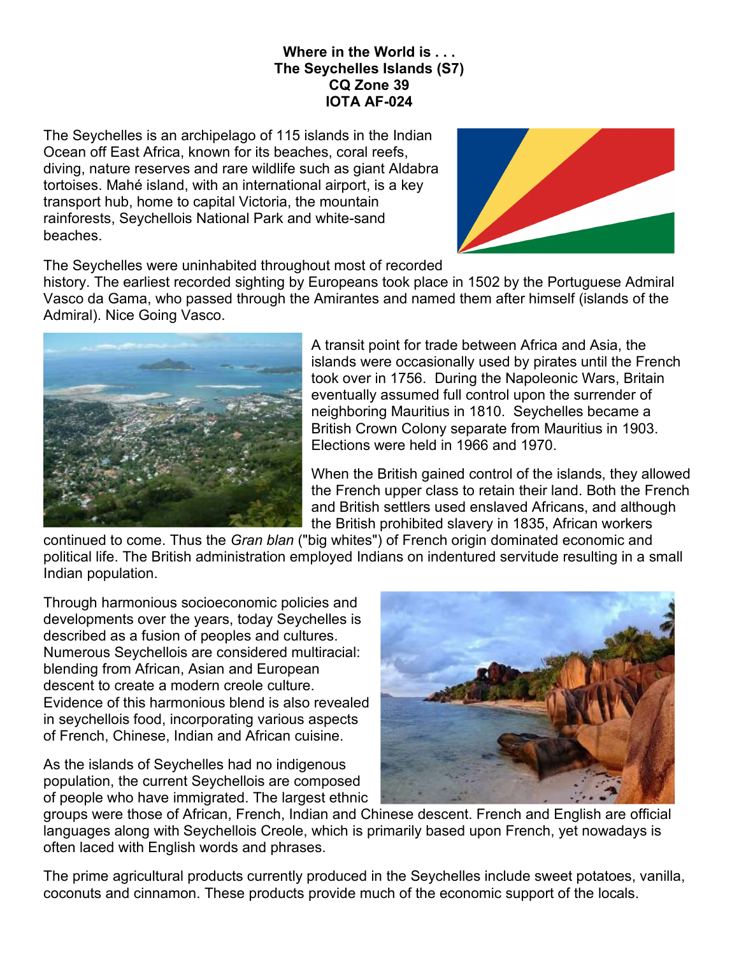## **Where in the World is . . . The Seychelles Islands (S7) CQ Zone 39 IOTA AF-024**

The Seychelles is an archipelago of 115 islands in the Indian Ocean off East Africa, known for its beaches, coral reefs, diving, nature reserves and rare wildlife such as giant Aldabra tortoises. Mahé island, with an international airport, is a key transport hub, home to capital Victoria, the mountain rainforests, Seychellois National Park and white-sand beaches.



The Seychelles were uninhabited throughout most of recorded

history. The earliest recorded sighting by Europeans took place in 1502 by the Portuguese Admiral Vasco da Gama, who passed through the Amirantes and named them after himself (islands of the Admiral). Nice Going Vasco.



A transit point for trade between Africa and Asia, the islands were occasionally used by pirates until the French took over in 1756. During the Napoleonic Wars, Britain eventually assumed full control upon the surrender of neighboring Mauritius in 1810. Seychelles became a British Crown Colony separate from Mauritius in 1903. Elections were held in 1966 and 1970.

When the British gained control of the islands, they allowed the French upper class to retain their land. Both the French and British settlers used enslaved Africans, and although the British prohibited slavery in 1835, African workers

continued to come. Thus the *Gran blan* ("big whites") of French origin dominated economic and political life. The British administration employed Indians on indentured servitude resulting in a small Indian population.

Through harmonious socioeconomic policies and developments over the years, today Seychelles is described as a fusion of peoples and cultures. Numerous Seychellois are considered multiracial: blending from African, Asian and European descent to create a modern creole culture. Evidence of this harmonious blend is also revealed in seychellois food, incorporating various aspects of French, Chinese, Indian and African cuisine.

As the islands of Seychelles had no indigenous population, the current Seychellois are composed of people who have immigrated. The largest ethnic



groups were those of African, French, Indian and Chinese descent. French and English are official languages along with Seychellois Creole, which is primarily based upon French, yet nowadays is often laced with English words and phrases.

The prime agricultural products currently produced in the Seychelles include sweet potatoes, vanilla, coconuts and cinnamon. These products provide much of the economic support of the locals.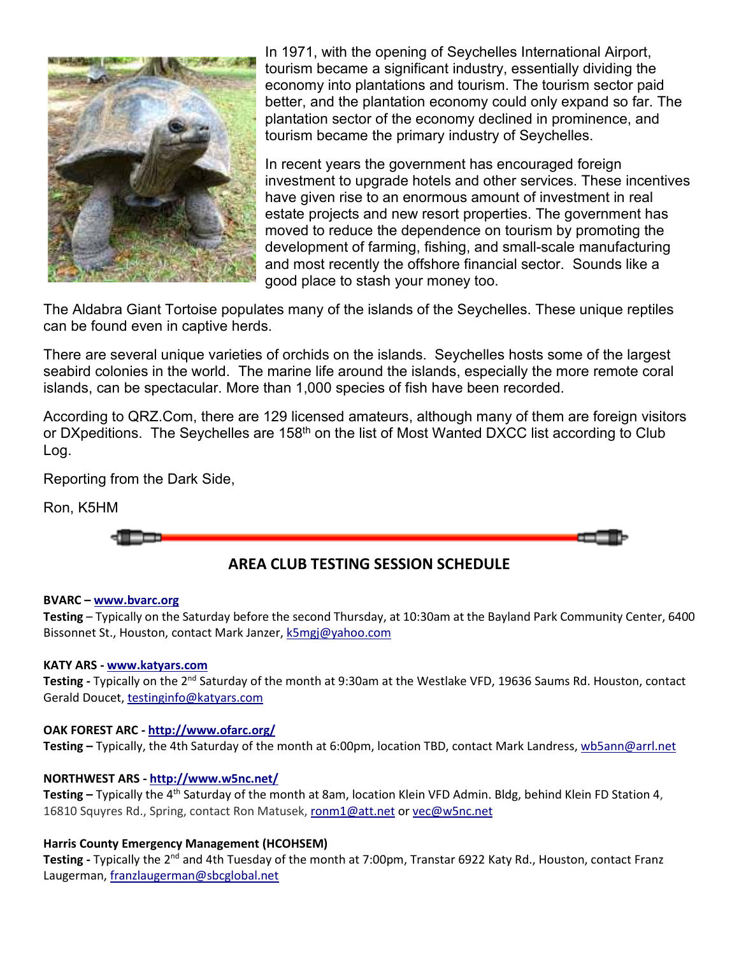

In 1971, with the opening of Seychelles International Airport, tourism became a significant industry, essentially dividing the economy into plantations and tourism. The tourism sector paid better, and the plantation economy could only expand so far. The plantation sector of the economy declined in prominence, and tourism became the primary industry of Seychelles.

In recent years the government has encouraged foreign investment to upgrade hotels and other services. These incentives have given rise to an enormous amount of investment in real estate projects and new resort properties. The government has moved to reduce the dependence on tourism by promoting the development of farming, fishing, and small-scale manufacturing and most recently the offshore financial sector. Sounds like a good place to stash your money too.

The Aldabra Giant Tortoise populates many of the islands of the Seychelles. These unique reptiles can be found even in captive herds.

There are several unique varieties of orchids on the islands. Seychelles hosts some of the largest seabird colonies in the world. The marine life around the islands, especially the more remote coral islands, can be spectacular. More than 1,000 species of fish have been recorded.

According to QRZ.Com, there are 129 licensed amateurs, although many of them are foreign visitors or DXpeditions. The Seychelles are 158<sup>th</sup> on the list of Most Wanted DXCC list according to Club Log.

Reporting from the Dark Side,

Ron, K5HM

**AREA CLUB TESTING SESSION SCHEDULE** 

#### **BVARC – www.bvarc.org**

**Testing** – Typically on the Saturday before the second Thursday, at 10:30am at the Bayland Park Community Center, 6400 Bissonnet St., Houston, contact Mark Janzer, k5mgj@yahoo.com

#### **KATY ARS - www.katyars.com**

**Testing -** Typically on the 2nd Saturday of the month at 9:30am at the Westlake VFD, 19636 Saums Rd. Houston, contact Gerald Doucet, testinginfo@katyars.com

### **OAK FOREST ARC - http://www.ofarc.org/**

**Testing –** Typically, the 4th Saturday of the month at 6:00pm, location TBD, contact Mark Landress, wb5ann@arrl.net

### **NORTHWEST ARS - http://www.w5nc.net/**

**Testing –** Typically the 4th Saturday of the month at 8am, location Klein VFD Admin. Bldg, behind Klein FD Station 4, 16810 Squyres Rd., Spring, contact Ron Matusek, ronm1@att.net or vec@w5nc.net

### **Harris County Emergency Management (HCOHSEM)**

**Testing -** Typically the 2nd and 4th Tuesday of the month at 7:00pm, Transtar 6922 Katy Rd., Houston, contact Franz Laugerman, franzlaugerman@sbcglobal.net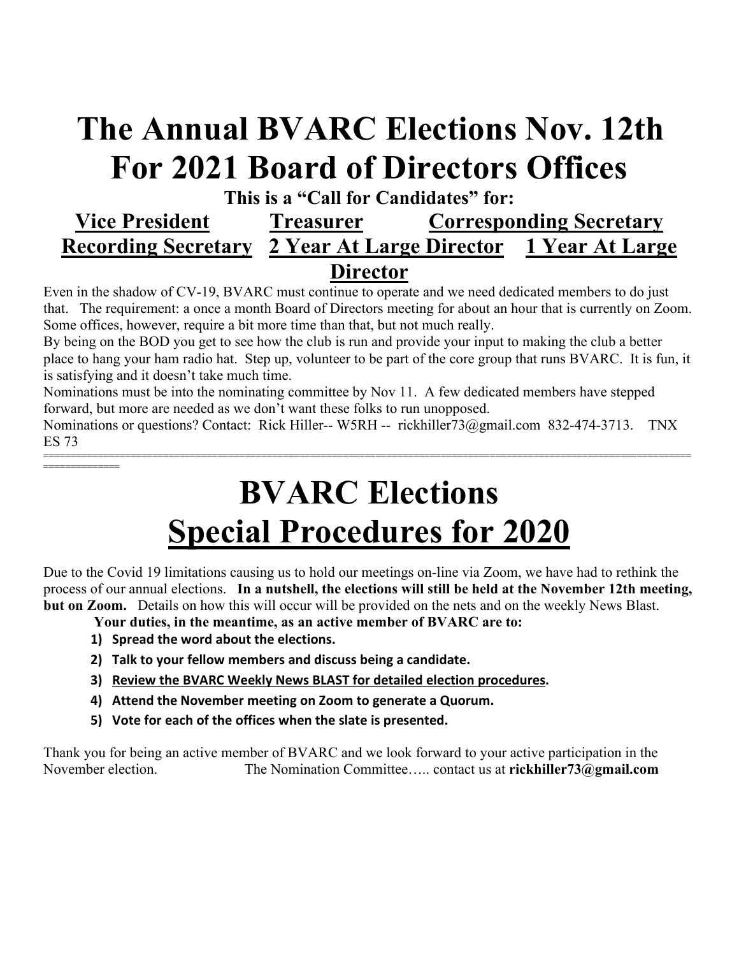## **The Annual BVARC Elections Nov. 12th For 2021 Board of Directors Offices**

## **This is a "Call for Candidates" for: Vice President Treasurer Corresponding Secretary Recording Secretary 2 Year At Large Director 1 Year At Large Director**

Even in the shadow of CV-19, BVARC must continue to operate and we need dedicated members to do just that. The requirement: a once a month Board of Directors meeting for about an hour that is currently on Zoom. Some offices, however, require a bit more time than that, but not much really.

By being on the BOD you get to see how the club is run and provide your input to making the club a better place to hang your ham radio hat. Step up, volunteer to be part of the core group that runs BVARC. It is fun, it is satisfying and it doesn't take much time.

Nominations must be into the nominating committee by Nov 11. A few dedicated members have stepped forward, but more are needed as we don't want these folks to run unopposed.

Nominations or questions? Contact: Rick Hiller-- W5RH -- rickhiller73@gmail.com 832-474-3713. TNX ES 73

=======================================================================================================================

# **BVARC Elections Special Procedures for 2020**

Due to the Covid 19 limitations causing us to hold our meetings on-line via Zoom, we have had to rethink the process of our annual elections. **In a nutshell, the elections will still be held at the November 12th meeting, but on Zoom.** Details on how this will occur will be provided on the nets and on the weekly News Blast.

 **Your duties, in the meantime, as an active member of BVARC are to:** 

**1) Spread the word about the elections.** 

==============

- **2) Talk to your fellow members and discuss being a candidate.**
- **3) Review the BVARC Weekly News BLAST for detailed election procedures.**
- **4) Attend the November meeting on Zoom to generate a Quorum.**
- **5) Vote for each of the offices when the slate is presented.**

Thank you for being an active member of BVARC and we look forward to your active participation in the November election. The Nomination Committee….. contact us at **rickhiller73@gmail.com**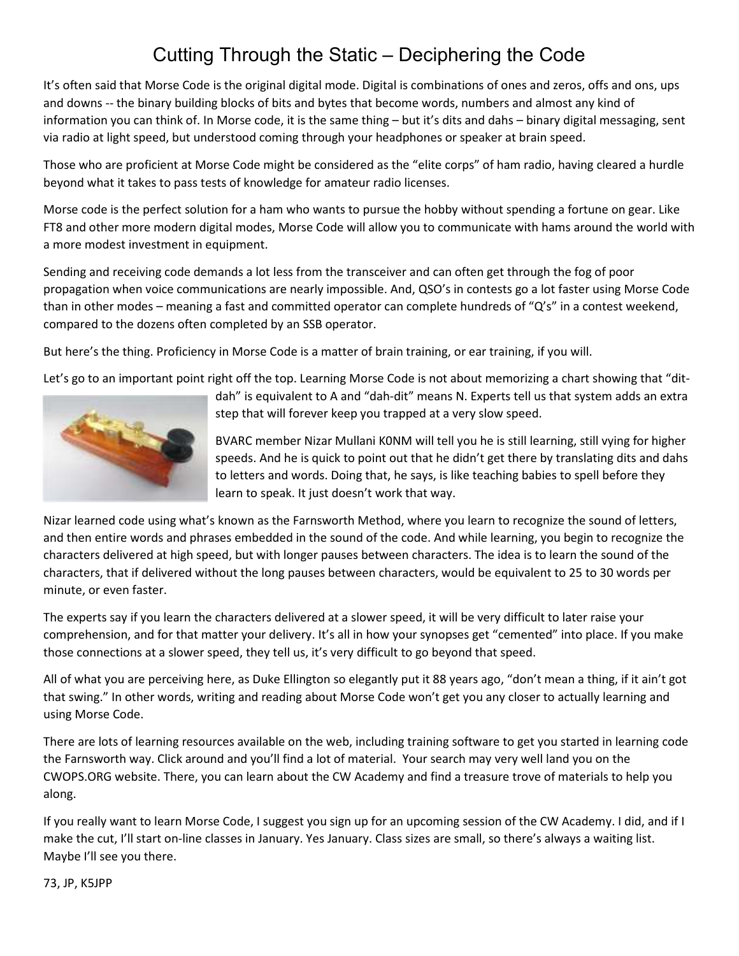## Cutting Through the Static – Deciphering the Code

It's often said that Morse Code is the original digital mode. Digital is combinations of ones and zeros, offs and ons, ups and downs -- the binary building blocks of bits and bytes that become words, numbers and almost any kind of information you can think of. In Morse code, it is the same thing – but it's dits and dahs – binary digital messaging, sent via radio at light speed, but understood coming through your headphones or speaker at brain speed.

Those who are proficient at Morse Code might be considered as the "elite corps" of ham radio, having cleared a hurdle beyond what it takes to pass tests of knowledge for amateur radio licenses.

Morse code is the perfect solution for a ham who wants to pursue the hobby without spending a fortune on gear. Like FT8 and other more modern digital modes, Morse Code will allow you to communicate with hams around the world with a more modest investment in equipment.

Sending and receiving code demands a lot less from the transceiver and can often get through the fog of poor propagation when voice communications are nearly impossible. And, QSO's in contests go a lot faster using Morse Code than in other modes – meaning a fast and committed operator can complete hundreds of "Q's" in a contest weekend, compared to the dozens often completed by an SSB operator.

But here's the thing. Proficiency in Morse Code is a matter of brain training, or ear training, if you will.

Let's go to an important point right off the top. Learning Morse Code is not about memorizing a chart showing that "dit-



dah" is equivalent to A and "dah-dit" means N. Experts tell us that system adds an extra step that will forever keep you trapped at a very slow speed.

BVARC member Nizar Mullani K0NM will tell you he is still learning, still vying for higher speeds. And he is quick to point out that he didn't get there by translating dits and dahs to letters and words. Doing that, he says, is like teaching babies to spell before they learn to speak. It just doesn't work that way.

Nizar learned code using what's known as the Farnsworth Method, where you learn to recognize the sound of letters, and then entire words and phrases embedded in the sound of the code. And while learning, you begin to recognize the characters delivered at high speed, but with longer pauses between characters. The idea is to learn the sound of the characters, that if delivered without the long pauses between characters, would be equivalent to 25 to 30 words per minute, or even faster.

The experts say if you learn the characters delivered at a slower speed, it will be very difficult to later raise your comprehension, and for that matter your delivery. It's all in how your synopses get "cemented" into place. If you make those connections at a slower speed, they tell us, it's very difficult to go beyond that speed.

All of what you are perceiving here, as Duke Ellington so elegantly put it 88 years ago, "don't mean a thing, if it ain't got that swing." In other words, writing and reading about Morse Code won't get you any closer to actually learning and using Morse Code.

There are lots of learning resources available on the web, including training software to get you started in learning code the Farnsworth way. Click around and you'll find a lot of material. Your search may very well land you on the CWOPS.ORG website. There, you can learn about the CW Academy and find a treasure trove of materials to help you along.

If you really want to learn Morse Code, I suggest you sign up for an upcoming session of the CW Academy. I did, and if I make the cut, I'll start on-line classes in January. Yes January. Class sizes are small, so there's always a waiting list. Maybe I'll see you there.

73, JP, K5JPP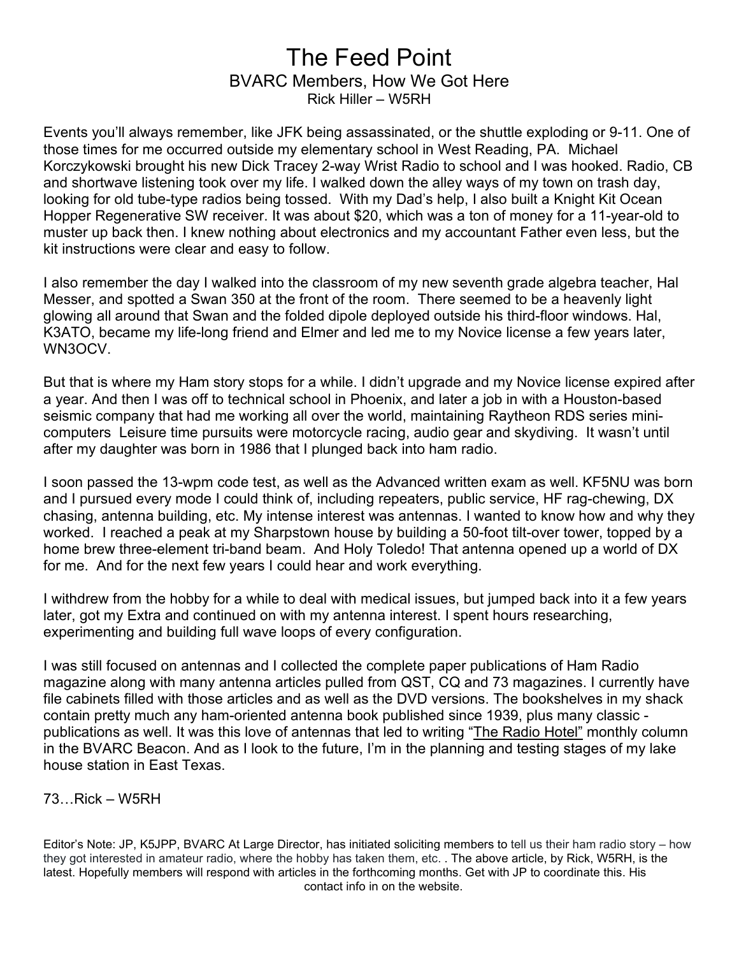## The Feed Point BVARC Members, How We Got Here Rick Hiller – W5RH

Events you'll always remember, like JFK being assassinated, or the shuttle exploding or 9-11. One of those times for me occurred outside my elementary school in West Reading, PA. Michael Korczykowski brought his new Dick Tracey 2-way Wrist Radio to school and I was hooked. Radio, CB and shortwave listening took over my life. I walked down the alley ways of my town on trash day, looking for old tube-type radios being tossed. With my Dad's help, I also built a Knight Kit Ocean Hopper Regenerative SW receiver. It was about \$20, which was a ton of money for a 11-year-old to muster up back then. I knew nothing about electronics and my accountant Father even less, but the kit instructions were clear and easy to follow.

I also remember the day I walked into the classroom of my new seventh grade algebra teacher, Hal Messer, and spotted a Swan 350 at the front of the room. There seemed to be a heavenly light glowing all around that Swan and the folded dipole deployed outside his third-floor windows. Hal, K3ATO, became my life-long friend and Elmer and led me to my Novice license a few years later, WN3OCV.

But that is where my Ham story stops for a while. I didn't upgrade and my Novice license expired after a year. And then I was off to technical school in Phoenix, and later a job in with a Houston-based seismic company that had me working all over the world, maintaining Raytheon RDS series minicomputers Leisure time pursuits were motorcycle racing, audio gear and skydiving. It wasn't until after my daughter was born in 1986 that I plunged back into ham radio.

I soon passed the 13-wpm code test, as well as the Advanced written exam as well. KF5NU was born and I pursued every mode I could think of, including repeaters, public service, HF rag-chewing, DX chasing, antenna building, etc. My intense interest was antennas. I wanted to know how and why they worked. I reached a peak at my Sharpstown house by building a 50-foot tilt-over tower, topped by a home brew three-element tri-band beam. And Holy Toledo! That antenna opened up a world of DX for me. And for the next few years I could hear and work everything.

I withdrew from the hobby for a while to deal with medical issues, but jumped back into it a few years later, got my Extra and continued on with my antenna interest. I spent hours researching, experimenting and building full wave loops of every configuration.

I was still focused on antennas and I collected the complete paper publications of Ham Radio magazine along with many antenna articles pulled from QST, CQ and 73 magazines. I currently have file cabinets filled with those articles and as well as the DVD versions. The bookshelves in my shack contain pretty much any ham-oriented antenna book published since 1939, plus many classic publications as well. It was this love of antennas that led to writing "The Radio Hotel" monthly column in the BVARC Beacon. And as I look to the future, I'm in the planning and testing stages of my lake house station in East Texas.

## 73…Rick – W5RH

Editor's Note: JP, K5JPP, BVARC At Large Director, has initiated soliciting members to tell us their ham radio story – how they got interested in amateur radio, where the hobby has taken them, etc. . The above article, by Rick, W5RH, is the latest. Hopefully members will respond with articles in the forthcoming months. Get with JP to coordinate this. His contact info in on the website.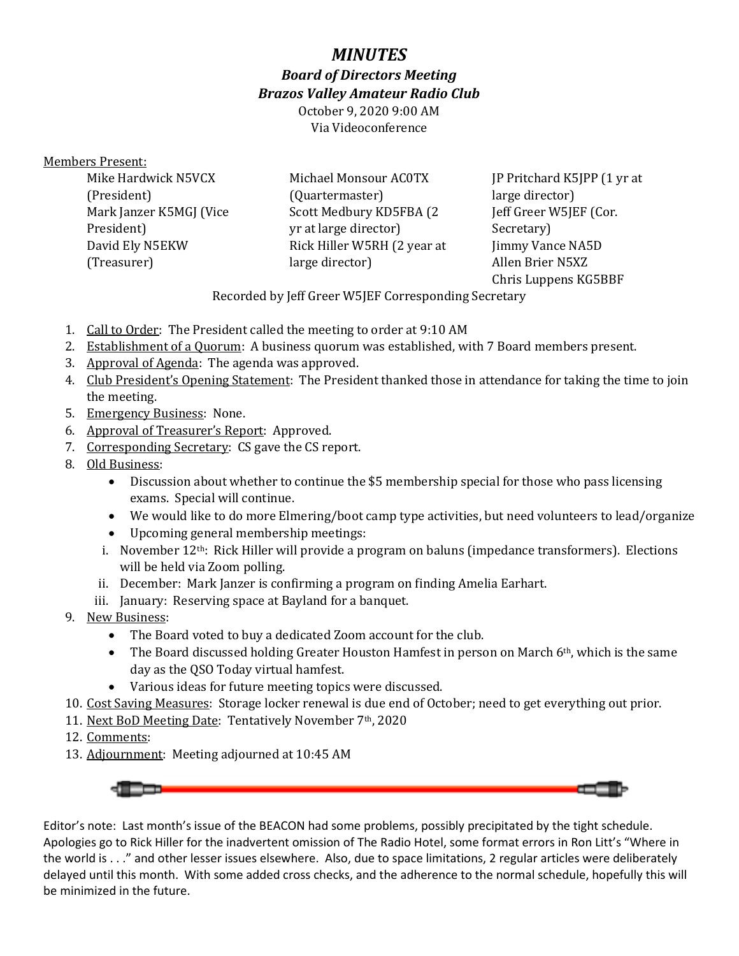## *MINUTES*

*Board of Directors Meeting* 

*Brazos Valley Amateur Radio Club* 

October 9, 2020 9:00 AM Via Videoconference

### Members Present:

Mike Hardwick N5VCX (President) Mark Janzer K5MGJ (Vice President) David Ely N5EKW (Treasurer)

Michael Monsour AC0TX (Quartermaster) Scott Medbury KD5FBA (2 yr at large director) Rick Hiller W5RH (2 year at large director)

JP Pritchard K5JPP (1 yr at large director) Jeff Greer W5JEF (Cor. Secretary) Jimmy Vance NA5D Allen Brier N5XZ Chris Luppens KG5BBF

Recorded by Jeff Greer W5JEF Corresponding Secretary

- 1. Call to Order: The President called the meeting to order at 9:10 AM
- 2. Establishment of a Quorum: A business quorum was established, with 7 Board members present.
- 3. Approval of Agenda: The agenda was approved.
- 4. Club President's Opening Statement: The President thanked those in attendance for taking the time to join the meeting.
- 5. Emergency Business: None.
- 6. Approval of Treasurer's Report: Approved.
- 7. Corresponding Secretary: CS gave the CS report.
- 8. Old Business:
	- Discussion about whether to continue the \$5 membership special for those who pass licensing exams. Special will continue.
	- We would like to do more Elmering/boot camp type activities, but need volunteers to lead/organize
	- Upcoming general membership meetings:
	- i. November 12<sup>th</sup>: Rick Hiller will provide a program on baluns (impedance transformers). Elections will be held via Zoom polling.
	- ii. December: Mark Janzer is confirming a program on finding Amelia Earhart.
	- iii. January: Reserving space at Bayland for a banquet.
- 9. New Business:
	- The Board voted to buy a dedicated Zoom account for the club.
	- The Board discussed holding Greater Houston Hamfest in person on March  $6<sup>th</sup>$ , which is the same day as the QSO Today virtual hamfest.
	- Various ideas for future meeting topics were discussed.
- 10. Cost Saving Measures: Storage locker renewal is due end of October; need to get everything out prior.
- 11. Next BoD Meeting Date: Tentatively November 7th, 2020
- 12. Comments:
- 13. Adjournment: Meeting adjourned at 10:45 AM



Editor's note: Last month's issue of the BEACON had some problems, possibly precipitated by the tight schedule. Apologies go to Rick Hiller for the inadvertent omission of The Radio Hotel, some format errors in Ron Litt's "Where in the world is . . ." and other lesser issues elsewhere. Also, due to space limitations, 2 regular articles were deliberately delayed until this month. With some added cross checks, and the adherence to the normal schedule, hopefully this will be minimized in the future.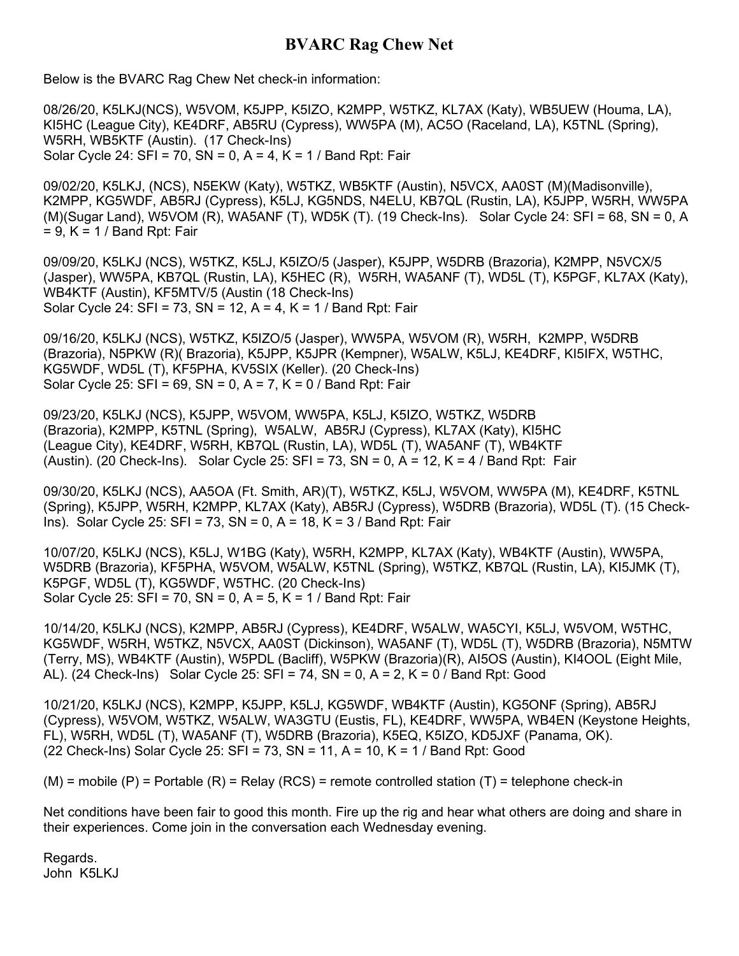## **BVARC Rag Chew Net**

Below is the BVARC Rag Chew Net check-in information:

08/26/20, K5LKJ(NCS), W5VOM, K5JPP, K5IZO, K2MPP, W5TKZ, KL7AX (Katy), WB5UEW (Houma, LA), KI5HC (League City), KE4DRF, AB5RU (Cypress), WW5PA (M), AC5O (Raceland, LA), K5TNL (Spring), W5RH, WB5KTF (Austin). (17 Check-Ins) Solar Cycle 24: SFI = 70, SN = 0, A = 4, K = 1 / Band Rpt: Fair

09/02/20, K5LKJ, (NCS), N5EKW (Katy), W5TKZ, WB5KTF (Austin), N5VCX, AA0ST (M)(Madisonville), K2MPP, KG5WDF, AB5RJ (Cypress), K5LJ, KG5NDS, N4ELU, KB7QL (Rustin, LA), K5JPP, W5RH, WW5PA (M)(Sugar Land), W5VOM (R), WA5ANF (T), WD5K (T). (19 Check-Ins). Solar Cycle 24: SFI = 68, SN = 0, A  $= 9$ , K = 1 / Band Rpt: Fair

09/09/20, K5LKJ (NCS), W5TKZ, K5LJ, K5IZO/5 (Jasper), K5JPP, W5DRB (Brazoria), K2MPP, N5VCX/5 (Jasper), WW5PA, KB7QL (Rustin, LA), K5HEC (R), W5RH, WA5ANF (T), WD5L (T), K5PGF, KL7AX (Katy), WB4KTF (Austin), KF5MTV/5 (Austin (18 Check-Ins) Solar Cycle 24: SFI = 73, SN = 12, A = 4, K = 1 / Band Rpt: Fair

09/16/20, K5LKJ (NCS), W5TKZ, K5IZO/5 (Jasper), WW5PA, W5VOM (R), W5RH, K2MPP, W5DRB (Brazoria), N5PKW (R)( Brazoria), K5JPP, K5JPR (Kempner), W5ALW, K5LJ, KE4DRF, KI5IFX, W5THC, KG5WDF, WD5L (T), KF5PHA, KV5SIX (Keller). (20 Check-Ins) Solar Cycle 25: SFI =  $69$ , SN =  $0$ , A =  $7$ , K =  $0$  / Band Rpt: Fair

09/23/20, K5LKJ (NCS), K5JPP, W5VOM, WW5PA, K5LJ, K5IZO, W5TKZ, W5DRB (Brazoria), K2MPP, K5TNL (Spring), W5ALW, AB5RJ (Cypress), KL7AX (Katy), KI5HC (League City), KE4DRF, W5RH, KB7QL (Rustin, LA), WD5L (T), WA5ANF (T), WB4KTF (Austin). (20 Check-Ins). Solar Cycle 25: SFI = 73, SN = 0, A = 12, K = 4 / Band Rpt: Fair

09/30/20, K5LKJ (NCS), AA5OA (Ft. Smith, AR)(T), W5TKZ, K5LJ, W5VOM, WW5PA (M), KE4DRF, K5TNL (Spring), K5JPP, W5RH, K2MPP, KL7AX (Katy), AB5RJ (Cypress), W5DRB (Brazoria), WD5L (T). (15 Check-Ins). Solar Cycle 25: SFI = 73, SN = 0, A = 18, K = 3 / Band Rpt: Fair

10/07/20, K5LKJ (NCS), K5LJ, W1BG (Katy), W5RH, K2MPP, KL7AX (Katy), WB4KTF (Austin), WW5PA, W5DRB (Brazoria), KF5PHA, W5VOM, W5ALW, K5TNL (Spring), W5TKZ, KB7QL (Rustin, LA), KI5JMK (T), K5PGF, WD5L (T), KG5WDF, W5THC. (20 Check-Ins) Solar Cycle 25: SFI = 70, SN = 0, A = 5, K = 1 / Band Rpt: Fair

10/14/20, K5LKJ (NCS), K2MPP, AB5RJ (Cypress), KE4DRF, W5ALW, WA5CYI, K5LJ, W5VOM, W5THC, KG5WDF, W5RH, W5TKZ, N5VCX, AA0ST (Dickinson), WA5ANF (T), WD5L (T), W5DRB (Brazoria), N5MTW (Terry, MS), WB4KTF (Austin), W5PDL (Bacliff), W5PKW (Brazoria)(R), AI5OS (Austin), KI4OOL (Eight Mile, AL). (24 Check-Ins) Solar Cycle 25:  $SFI = 74$ ,  $SN = 0$ ,  $A = 2$ ,  $K = 0$  / Band Rpt: Good

10/21/20, K5LKJ (NCS), K2MPP, K5JPP, K5LJ, KG5WDF, WB4KTF (Austin), KG5ONF (Spring), AB5RJ (Cypress), W5VOM, W5TKZ, W5ALW, WA3GTU (Eustis, FL), KE4DRF, WW5PA, WB4EN (Keystone Heights, FL), W5RH, WD5L (T), WA5ANF (T), W5DRB (Brazoria), K5EQ, K5IZO, KD5JXF (Panama, OK). (22 Check-Ins) Solar Cycle 25: SFI = 73, SN = 11, A = 10, K = 1 / Band Rpt: Good

 $(M)$  = mobile  $(P)$  = Portable  $(R)$  = Relay  $(RCS)$  = remote controlled station  $(T)$  = telephone check-in

Net conditions have been fair to good this month. Fire up the rig and hear what others are doing and share in their experiences. Come join in the conversation each Wednesday evening.

Regards. John K5LKJ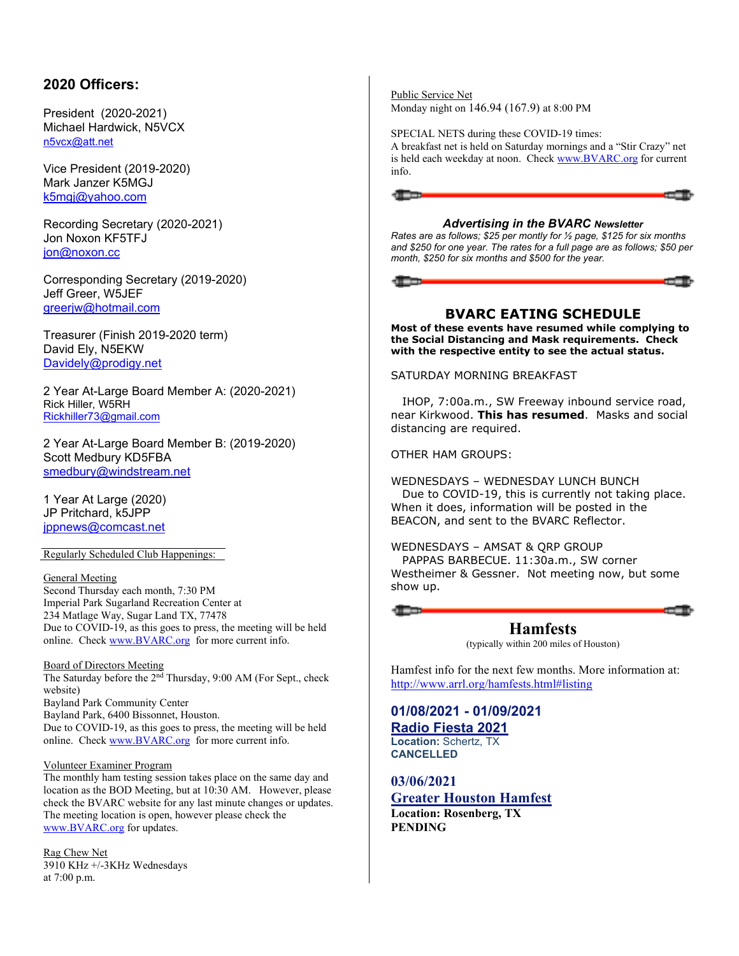## **2020 Officers:**

President (2020-2021) Michael Hardwick, N5VCX n5vcx@att.net

Vice President (2019-2020) Mark Janzer K5MGJ k5mgj@yahoo.com

Recording Secretary (2020-2021) Jon Noxon KF5TFJ jon@noxon.cc

Corresponding Secretary (2019-2020) Jeff Greer, W5JEF greerjw@hotmail.com

Treasurer (Finish 2019-2020 term) David Ely, N5EKW Davidely@prodigy.net

2 Year At-Large Board Member A: (2020-2021) Rick Hiller, W5RH Rickhiller73@gmail.com

2 Year At-Large Board Member B: (2019-2020) Scott Medbury KD5FBA smedbury@windstream.net

1 Year At Large (2020) JP Pritchard, k5JPP jppnews@comcast.net

Regularly Scheduled Club Happenings:

General Meeting Second Thursday each month, 7:30 PM Imperial Park Sugarland Recreation Center at 234 Matlage Way, Sugar Land TX, 77478 Due to COVID-19, as this goes to press, the meeting will be held online. Check www.BVARC.org for more current info.

Board of Directors Meeting The Saturday before the 2<sup>nd</sup> Thursday, 9:00 AM (For Sept., check website) Bayland Park Community Center Bayland Park, 6400 Bissonnet, Houston. Due to COVID-19, as this goes to press, the meeting will be held online. Check www.BVARC.org for more current info.

#### Volunteer Examiner Program

The monthly ham testing session takes place on the same day and location as the BOD Meeting, but at 10:30 AM. However, please check the BVARC website for any last minute changes or updates. The meeting location is open, however please check the www.BVARC.org for updates.

Rag Chew Net 3910 KHz +/-3KHz Wednesdays at 7:00 p.m.

Public Service Net Monday night on 146.94 (167.9) at 8:00 PM

SPECIAL NETS during these COVID-19 times: A breakfast net is held on Saturday mornings and a "Stir Crazy" net is held each weekday at noon. Check www.BVARC.org for current info.



#### *Advertising in the BVARC Newsletter*

*Rates are as follows; \$25 per montly for ½ page, \$125 for six months and \$250 for one year. The rates for a full page are as follows; \$50 per month, \$250 for six months and \$500 for the year.* 

#### **BVARC EATING SCHEDULE**

**Most of these events have resumed while complying to the Social Distancing and Mask requirements. Check with the respective entity to see the actual status.** 

SATURDAY MORNING BREAKFAST

 IHOP, 7:00a.m., SW Freeway inbound service road, near Kirkwood. **This has resumed**. Masks and social distancing are required.

OTHER HAM GROUPS:

WEDNESDAYS – WEDNESDAY LUNCH BUNCH Due to COVID-19, this is currently not taking place. When it does, information will be posted in the BEACON, and sent to the BVARC Reflector.

WEDNESDAYS – AMSAT & QRP GROUP PAPPAS BARBECUE. 11:30a.m., SW corner Westheimer & Gessner. Not meeting now, but some show up.

> **Hamfests** (typically within 200 miles of Houston)

Hamfest info for the next few months. More information at: http://www.arrl.org/hamfests.html#listing

**01/08/2021 - 01/09/2021 Radio Fiesta 2021 Location:** Schertz, TX

**CANCELLED 03/06/2021** 

## **Greater Houston Hamfest Location: Rosenberg, TX**

**PENDING**